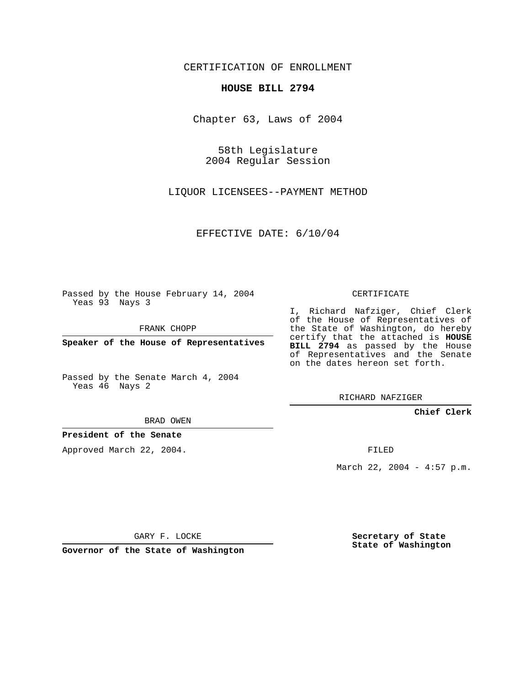CERTIFICATION OF ENROLLMENT

## **HOUSE BILL 2794**

Chapter 63, Laws of 2004

58th Legislature 2004 Regular Session

LIQUOR LICENSEES--PAYMENT METHOD

EFFECTIVE DATE: 6/10/04

Passed by the House February 14, 2004 Yeas 93 Nays 3

FRANK CHOPP

**Speaker of the House of Representatives**

Passed by the Senate March 4, 2004 Yeas 46 Nays 2

BRAD OWEN

**President of the Senate**

Approved March 22, 2004.

CERTIFICATE

I, Richard Nafziger, Chief Clerk of the House of Representatives of the State of Washington, do hereby certify that the attached is **HOUSE BILL 2794** as passed by the House of Representatives and the Senate on the dates hereon set forth.

RICHARD NAFZIGER

**Chief Clerk**

FILED

March 22, 2004 - 4:57 p.m.

GARY F. LOCKE

**Governor of the State of Washington**

**Secretary of State State of Washington**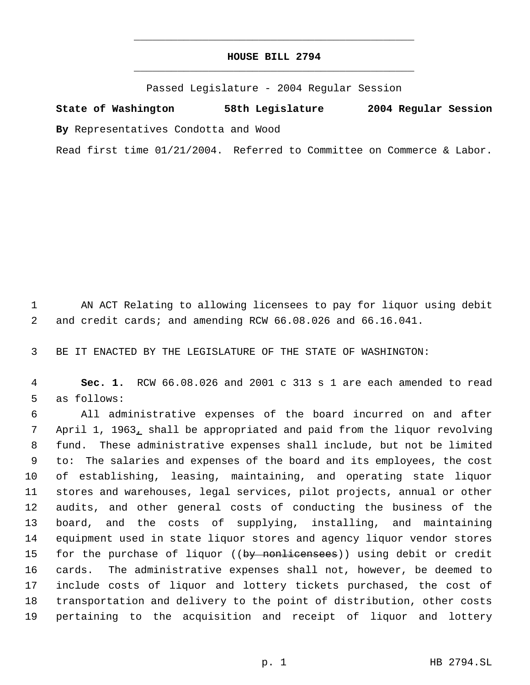## **HOUSE BILL 2794** \_\_\_\_\_\_\_\_\_\_\_\_\_\_\_\_\_\_\_\_\_\_\_\_\_\_\_\_\_\_\_\_\_\_\_\_\_\_\_\_\_\_\_\_\_

\_\_\_\_\_\_\_\_\_\_\_\_\_\_\_\_\_\_\_\_\_\_\_\_\_\_\_\_\_\_\_\_\_\_\_\_\_\_\_\_\_\_\_\_\_

Passed Legislature - 2004 Regular Session

**State of Washington 58th Legislature 2004 Regular Session By** Representatives Condotta and Wood

Read first time 01/21/2004. Referred to Committee on Commerce & Labor.

 AN ACT Relating to allowing licensees to pay for liquor using debit and credit cards; and amending RCW 66.08.026 and 66.16.041.

BE IT ENACTED BY THE LEGISLATURE OF THE STATE OF WASHINGTON:

 **Sec. 1.** RCW 66.08.026 and 2001 c 313 s 1 are each amended to read as follows:

 All administrative expenses of the board incurred on and after April 1, 1963, shall be appropriated and paid from the liquor revolving fund. These administrative expenses shall include, but not be limited to: The salaries and expenses of the board and its employees, the cost of establishing, leasing, maintaining, and operating state liquor stores and warehouses, legal services, pilot projects, annual or other audits, and other general costs of conducting the business of the board, and the costs of supplying, installing, and maintaining equipment used in state liquor stores and agency liquor vendor stores 15 for the purchase of liquor ((by nonlicensees)) using debit or credit cards. The administrative expenses shall not, however, be deemed to include costs of liquor and lottery tickets purchased, the cost of transportation and delivery to the point of distribution, other costs pertaining to the acquisition and receipt of liquor and lottery